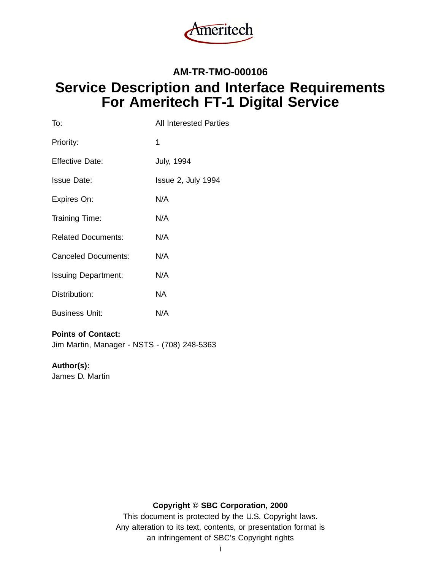

# **AM-TR-TMO-000106 Service Description and Interface Requirements For Ameritech FT-1 Digital Service**

| To:                        | <b>All Interested Parties</b> |
|----------------------------|-------------------------------|
| Priority:                  | 1                             |
| <b>Effective Date:</b>     | July, 1994                    |
| <b>Issue Date:</b>         | Issue 2, July 1994            |
| Expires On:                | N/A                           |
| Training Time:             | N/A                           |
| <b>Related Documents:</b>  | N/A                           |
| <b>Canceled Documents:</b> | N/A                           |
| <b>Issuing Department:</b> | N/A                           |
| Distribution:              | <b>NA</b>                     |
| <b>Business Unit:</b>      | N/A                           |

### **Points of Contact:**

Jim Martin, Manager - NSTS - (708) 248-5363

### **Author(s):**

James D. Martin

# **Copyright © SBC Corporation, 2000**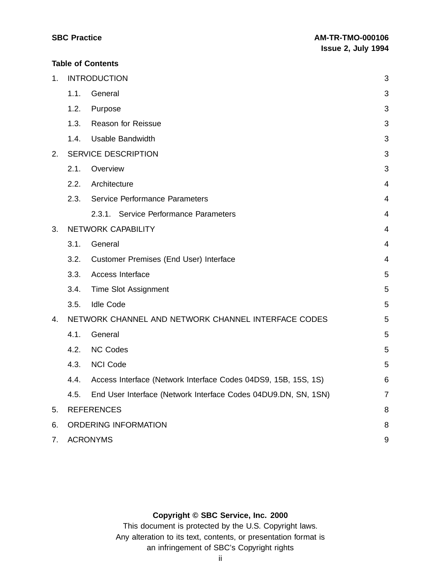#### **Table of Contents**

| 1. | <b>INTRODUCTION</b>         |                                                                | 3              |
|----|-----------------------------|----------------------------------------------------------------|----------------|
|    | 1.1.                        | General                                                        | 3              |
|    | 1.2.                        | Purpose                                                        | 3              |
|    | 1.3.                        | <b>Reason for Reissue</b>                                      | 3              |
|    | 1.4.                        | <b>Usable Bandwidth</b>                                        | 3              |
| 2. |                             | SERVICE DESCRIPTION                                            | 3              |
|    | 2.1.                        | Overview                                                       | 3              |
|    | 2.2.                        | Architecture                                                   | $\overline{4}$ |
|    | 2.3.                        | Service Performance Parameters                                 | $\overline{4}$ |
|    |                             | 2.3.1. Service Performance Parameters                          | $\overline{4}$ |
| 3. |                             | <b>NETWORK CAPABILITY</b>                                      | $\overline{4}$ |
|    | 3.1.                        | General                                                        | $\overline{4}$ |
|    | 3.2.                        | <b>Customer Premises (End User) Interface</b>                  | 4              |
|    | 3.3.                        | Access Interface                                               | 5              |
|    | 3.4.                        | <b>Time Slot Assignment</b>                                    | 5              |
|    | 3.5.                        | <b>Idle Code</b>                                               | 5              |
| 4. |                             | NETWORK CHANNEL AND NETWORK CHANNEL INTERFACE CODES            | 5              |
|    | 4.1.                        | General                                                        | 5              |
|    | 4.2.                        | <b>NC Codes</b>                                                | 5              |
|    | 4.3.                        | <b>NCI Code</b>                                                | 5              |
|    | 4.4.                        | Access Interface (Network Interface Codes 04DS9, 15B, 15S, 1S) | 6              |
|    | 4.5.                        | End User Interface (Network Interface Codes 04DU9.DN, SN, 1SN) | 7              |
| 5. | <b>REFERENCES</b>           |                                                                | 8              |
| 6. | <b>ORDERING INFORMATION</b> |                                                                | 8              |
| 7. |                             | <b>ACRONYMS</b>                                                | 9              |

# **Copyright © SBC Service, Inc. 2000**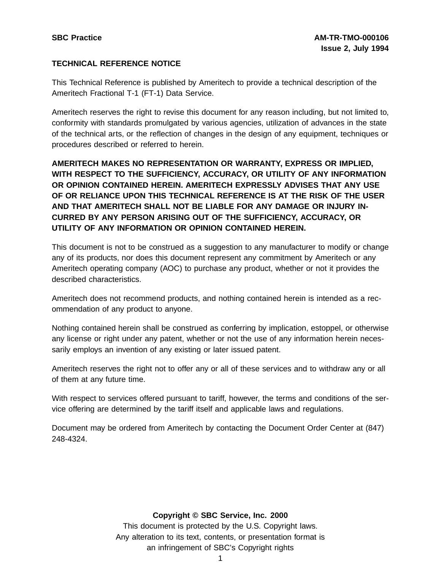# **TECHNICAL REFERENCE NOTICE**

This Technical Reference is published by Ameritech to provide a technical description of the Ameritech Fractional T-1 (FT-1) Data Service.

Ameritech reserves the right to revise this document for any reason including, but not limited to, conformity with standards promulgated by various agencies, utilization of advances in the state of the technical arts, or the reflection of changes in the design of any equipment, techniques or procedures described or referred to herein.

**AMERITECH MAKES NO REPRESENTATION OR WARRANTY, EXPRESS OR IMPLIED, WITH RESPECT TO THE SUFFICIENCY, ACCURACY, OR UTILITY OF ANY INFORMATION OR OPINION CONTAINED HEREIN. AMERITECH EXPRESSLY ADVISES THAT ANY USE OF OR RELIANCE UPON THIS TECHNICAL REFERENCE IS AT THE RISK OF THE USER AND THAT AMERITECH SHALL NOT BE LIABLE FOR ANY DAMAGE OR INJURY IN-CURRED BY ANY PERSON ARISING OUT OF THE SUFFICIENCY, ACCURACY, OR UTILITY OF ANY INFORMATION OR OPINION CONTAINED HEREIN.**

This document is not to be construed as a suggestion to any manufacturer to modify or change any of its products, nor does this document represent any commitment by Ameritech or any Ameritech operating company (AOC) to purchase any product, whether or not it provides the described characteristics.

Ameritech does not recommend products, and nothing contained herein is intended as a recommendation of any product to anyone.

Nothing contained herein shall be construed as conferring by implication, estoppel, or otherwise any license or right under any patent, whether or not the use of any information herein necessarily employs an invention of any existing or later issued patent.

Ameritech reserves the right not to offer any or all of these services and to withdraw any or all of them at any future time.

With respect to services offered pursuant to tariff, however, the terms and conditions of the service offering are determined by the tariff itself and applicable laws and regulations.

Document may be ordered from Ameritech by contacting the Document Order Center at (847) 248-4324.

### **Copyright © SBC Service, Inc. 2000**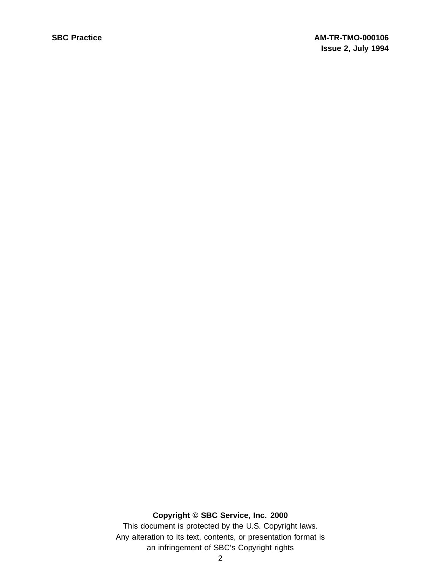# **Copyright © SBC Service, Inc. 2000**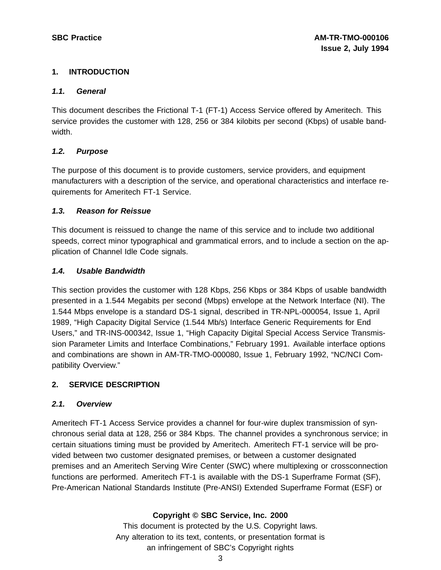# **1. INTRODUCTION**

### **1.1. General**

This document describes the Frictional T-1 (FT-1) Access Service offered by Ameritech. This service provides the customer with 128, 256 or 384 kilobits per second (Kbps) of usable bandwidth.

### **1.2. Purpose**

The purpose of this document is to provide customers, service providers, and equipment manufacturers with a description of the service, and operational characteristics and interface requirements for Ameritech FT-1 Service.

# **1.3. Reason for Reissue**

This document is reissued to change the name of this service and to include two additional speeds, correct minor typographical and grammatical errors, and to include a section on the application of Channel Idle Code signals.

# **1.4. Usable Bandwidth**

This section provides the customer with 128 Kbps, 256 Kbps or 384 Kbps of usable bandwidth presented in a 1.544 Megabits per second (Mbps) envelope at the Network Interface (NI). The 1.544 Mbps envelope is a standard DS-1 signal, described in TR-NPL-000054, Issue 1, April 1989, "High Capacity Digital Service (1.544 Mb/s) Interface Generic Requirements for End Users," and TR-INS-000342, Issue 1, "High Capacity Digital Special Access Service Transmission Parameter Limits and Interface Combinations," February 1991. Available interface options and combinations are shown in AM-TR-TMO-000080, Issue 1, February 1992, "NC/NCI Compatibility Overview."

# **2. SERVICE DESCRIPTION**

# **2.1. Overview**

Ameritech FT-1 Access Service provides a channel for four-wire duplex transmission of synchronous serial data at 128, 256 or 384 Kbps. The channel provides a synchronous service; in certain situations timing must be provided by Ameritech. Ameritech FT-1 service will be provided between two customer designated premises, or between a customer designated premises and an Ameritech Serving Wire Center (SWC) where multiplexing or crossconnection functions are performed. Ameritech FT-1 is available with the DS-1 Superframe Format (SF), Pre-American National Standards Institute (Pre-ANSI) Extended Superframe Format (ESF) or

# **Copyright © SBC Service, Inc. 2000**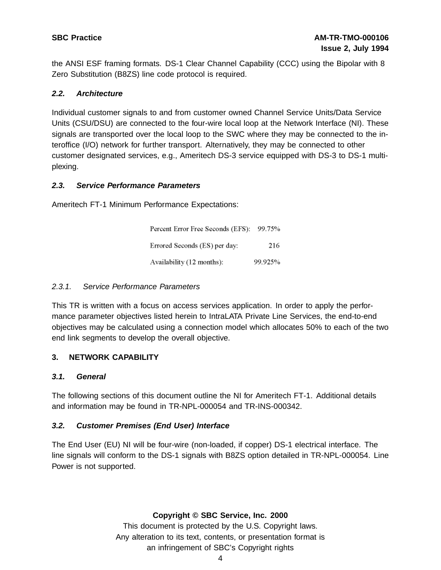the ANSI ESF framing formats. DS-1 Clear Channel Capability (CCC) using the Bipolar with 8 Zero Substitution (B8ZS) line code protocol is required.

# **2.2. Architecture**

Individual customer signals to and from customer owned Channel Service Units/Data Service Units (CSU/DSU) are connected to the four-wire local loop at the Network Interface (NI). These signals are transported over the local loop to the SWC where they may be connected to the interoffice (I/O) network for further transport. Alternatively, they may be connected to other customer designated services, e.g., Ameritech DS-3 service equipped with DS-3 to DS-1 multiplexing.

# **2.3. Service Performance Parameters**

Ameritech FT-1 Minimum Performance Expectations:

| Percent Error Free Seconds (EFS): | 99.75%  |
|-----------------------------------|---------|
| Errored Seconds (ES) per day:     | 216     |
| Availability (12 months):         | 99.925% |

# 2.3.1. Service Performance Parameters

This TR is written with a focus on access services application. In order to apply the performance parameter objectives listed herein to IntraLATA Private Line Services, the end-to-end objectives may be calculated using a connection model which allocates 50% to each of the two end link segments to develop the overall objective.

# **3. NETWORK CAPABILITY**

# **3.1. General**

The following sections of this document outline the NI for Ameritech FT-1. Additional details and information may be found in TR-NPL-000054 and TR-INS-000342.

# **3.2. Customer Premises (End User) Interface**

The End User (EU) NI will be four-wire (non-loaded, if copper) DS-1 electrical interface. The line signals will conform to the DS-1 signals with B8ZS option detailed in TR-NPL-000054. Line Power is not supported.

**Copyright © SBC Service, Inc. 2000**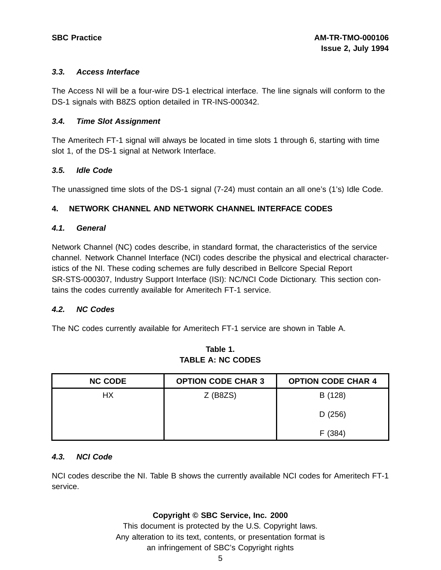#### **3.3. Access Interface**

The Access NI will be a four-wire DS-1 electrical interface. The line signals will conform to the DS-1 signals with B8ZS option detailed in TR-INS-000342.

### **3.4. Time Slot Assignment**

The Ameritech FT-1 signal will always be located in time slots 1 through 6, starting with time slot 1, of the DS-1 signal at Network Interface.

### **3.5. Idle Code**

The unassigned time slots of the DS-1 signal (7-24) must contain an all one's (1's) Idle Code.

# **4. NETWORK CHANNEL AND NETWORK CHANNEL INTERFACE CODES**

### **4.1. General**

Network Channel (NC) codes describe, in standard format, the characteristics of the service channel. Network Channel Interface (NCI) codes describe the physical and electrical characteristics of the NI. These coding schemes are fully described in Bellcore Special Report SR-STS-000307, Industry Support Interface (ISI): NC/NCI Code Dictionary. This section contains the codes currently available for Ameritech FT-1 service.

### **4.2. NC Codes**

The NC codes currently available for Ameritech FT-1 service are shown in Table A.

| <b>NC CODE</b> | <b>OPTION CODE CHAR 3</b> | <b>OPTION CODE CHAR 4</b> |
|----------------|---------------------------|---------------------------|
| HХ             | $Z$ (B8ZS)                | B (128)                   |
|                |                           | D(256)                    |
|                |                           | F(384)                    |

# **Table 1. TABLE A: NC CODES**

### **4.3. NCI Code**

NCI codes describe the NI. Table B shows the currently available NCI codes for Ameritech FT-1 service.

### **Copyright © SBC Service, Inc. 2000**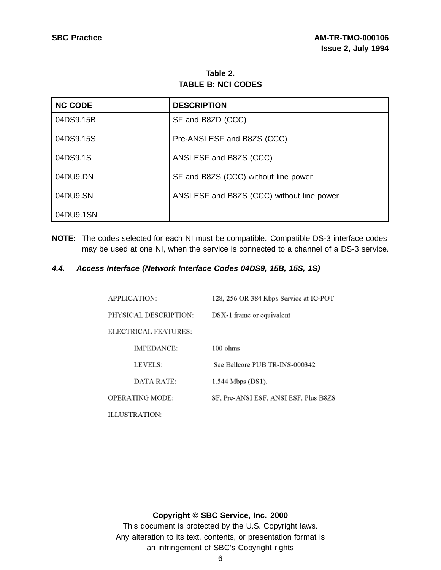# **Table 2. TABLE B: NCI CODES**

| <b>NC CODE</b> | <b>DESCRIPTION</b>                         |
|----------------|--------------------------------------------|
| 04DS9.15B      | SF and B8ZD (CCC)                          |
| 04DS9.15S      | Pre-ANSI ESF and B8ZS (CCC)                |
| 04DS9.1S       | ANSI ESF and B8ZS (CCC)                    |
| 04DU9.DN       | SF and B8ZS (CCC) without line power       |
| 04DU9.SN       | ANSI ESF and B8ZS (CCC) without line power |
| 04DU9.1SN      |                                            |

**NOTE:** The codes selected for each NI must be compatible. Compatible DS-3 interface codes may be used at one NI, when the service is connected to a channel of a DS-3 service.

### **4.4. Access Interface (Network Interface Codes 04DS9, 15B, 15S, 1S)**

| APPLICATION:           | 128, 256 OR 384 Kbps Service at IC-POT |
|------------------------|----------------------------------------|
| PHYSICAL DESCRIPTION:  | DSX-1 frame or equivalent              |
| ELECTRICAL FEATURES:   |                                        |
| IMPEDANCE:             | $100 \rho$ ohms                        |
| LEVELS:                | See Bellcore PUB TR-INS-000342         |
| DATA RATE:             | $1.544$ Mbps (DS1).                    |
| <b>OPERATING MODE:</b> | SF, Pre-ANSI ESF, ANSI ESF, Plus B8ZS  |
| ILLUSTRATION:          |                                        |

#### **Copyright © SBC Service, Inc. 2000**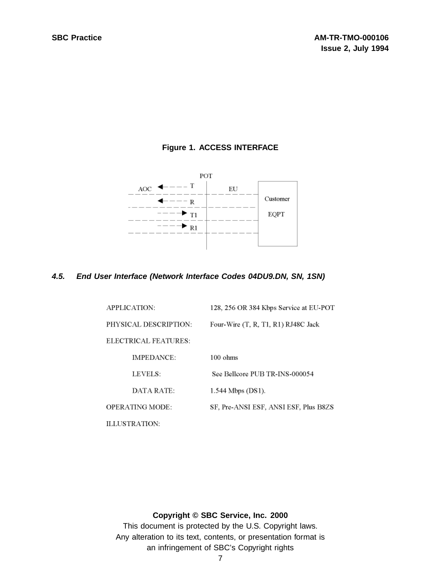# **Figure 1. ACCESS INTERFACE**



#### **4.5. End User Interface (Network Interface Codes 04DU9.DN, SN, 1SN)**

| <b>APPLICATION:</b>    | 128, 256 OR 384 Kbps Service at EU-POT |
|------------------------|----------------------------------------|
| PHYSICAL DESCRIPTION:  | Four-Wire (T, R, T1, R1) RJ48C Jack    |
| ELECTRICAL FEATURES:   |                                        |
| IMPEDANCE:             | $100$ ohms                             |
| LEVELS:                | See Bellcore PUB TR-INS-000054         |
| <b>DATA RATE:</b>      | $1.544$ Mbps (DS1).                    |
| <b>OPERATING MODE:</b> | SF, Pre-ANSI ESF, ANSI ESF, Plus B8ZS  |
| ILLUSTRATION:          |                                        |

### **Copyright © SBC Service, Inc. 2000**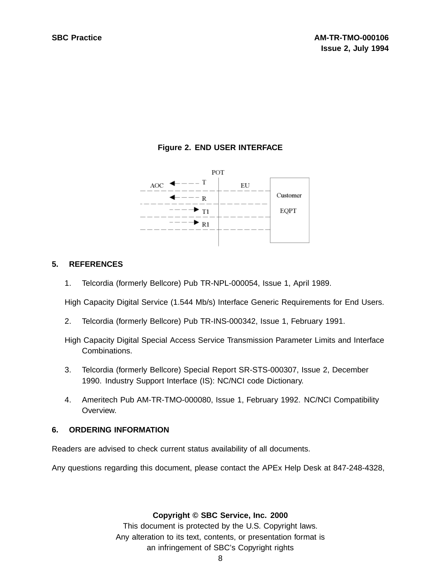

# **Figure 2. END USER INTERFACE**

### **5. REFERENCES**

1. Telcordia (formerly Bellcore) Pub TR-NPL-000054, Issue 1, April 1989.

High Capacity Digital Service (1.544 Mb/s) Interface Generic Requirements for End Users.

- 2. Telcordia (formerly Bellcore) Pub TR-INS-000342, Issue 1, February 1991.
- High Capacity Digital Special Access Service Transmission Parameter Limits and Interface Combinations.
- 3. Telcordia (formerly Bellcore) Special Report SR-STS-000307, Issue 2, December 1990. Industry Support Interface (IS): NC/NCI code Dictionary.
- 4. Ameritech Pub AM-TR-TMO-000080, Issue 1, February 1992. NC/NCI Compatibility Overview.

### **6. ORDERING INFORMATION**

Readers are advised to check current status availability of all documents.

Any questions regarding this document, please contact the APEx Help Desk at 847-248-4328,

### **Copyright © SBC Service, Inc. 2000**